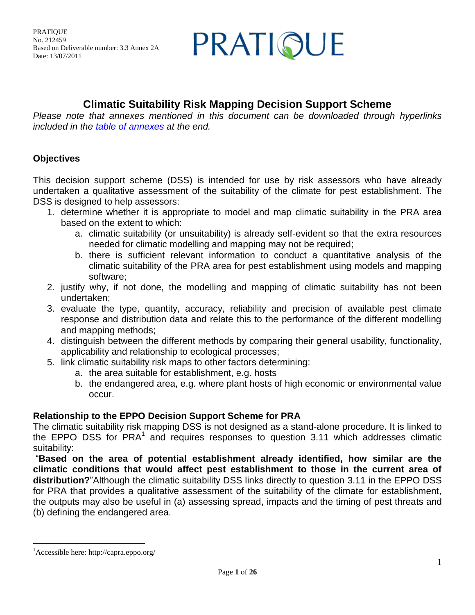PRATIQUE

## **Climatic Suitability Risk Mapping Decision Support Scheme**

*Please note that annexes mentioned in this document can be downloaded through hyperlinks included in the [table of annexes](#page-24-0) at the end.*

## **Objectives**

This decision support scheme (DSS) is intended for use by risk assessors who have already undertaken a qualitative assessment of the suitability of the climate for pest establishment. The DSS is designed to help assessors:

- 1. determine whether it is appropriate to model and map climatic suitability in the PRA area based on the extent to which:
	- a. climatic suitability (or unsuitability) is already self-evident so that the extra resources needed for climatic modelling and mapping may not be required;
	- b. there is sufficient relevant information to conduct a quantitative analysis of the climatic suitability of the PRA area for pest establishment using models and mapping software;
- 2. justify why, if not done, the modelling and mapping of climatic suitability has not been undertaken;
- 3. evaluate the type, quantity, accuracy, reliability and precision of available pest climate response and distribution data and relate this to the performance of the different modelling and mapping methods;
- 4. distinguish between the different methods by comparing their general usability, functionality, applicability and relationship to ecological processes;
- 5. link climatic suitability risk maps to other factors determining:
	- a. the area suitable for establishment, e.g. hosts
	- b. the endangered area, e.g. where plant hosts of high economic or environmental value occur.

## **Relationship to the EPPO Decision Support Scheme for PRA**

The climatic suitability risk mapping DSS is not designed as a stand-alone procedure. It is linked to the EPPO DSS for  $PRA<sup>1</sup>$  and requires responses to question 3.11 which addresses climatic suitability:

"**Based on the area of potential establishment already identified, how similar are the climatic conditions that would affect pest establishment to those in the current area of distribution?**"Although the climatic suitability DSS links directly to question 3.11 in the EPPO DSS for PRA that provides a qualitative assessment of the suitability of the climate for establishment, the outputs may also be useful in (a) assessing spread, impacts and the timing of pest threats and (b) defining the endangered area.

 $\overline{a}$ 

<sup>1</sup>Accessible here: http://capra.eppo.org/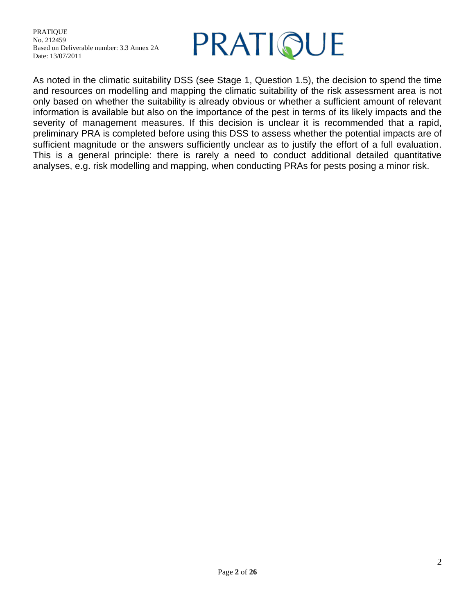

As noted in the climatic suitability DSS (see Stage 1, Question 1.5), the decision to spend the time and resources on modelling and mapping the climatic suitability of the risk assessment area is not only based on whether the suitability is already obvious or whether a sufficient amount of relevant information is available but also on the importance of the pest in terms of its likely impacts and the severity of management measures. If this decision is unclear it is recommended that a rapid, preliminary PRA is completed before using this DSS to assess whether the potential impacts are of sufficient magnitude or the answers sufficiently unclear as to justify the effort of a full evaluation. This is a general principle: there is rarely a need to conduct additional detailed quantitative analyses, e.g. risk modelling and mapping, when conducting PRAs for pests posing a minor risk.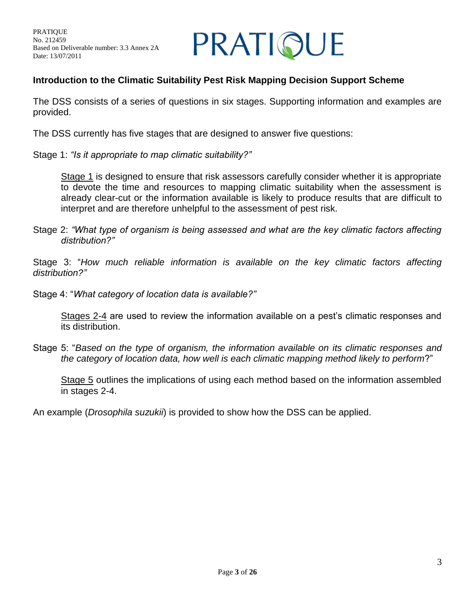

## **Introduction to the Climatic Suitability Pest Risk Mapping Decision Support Scheme**

The DSS consists of a series of questions in six stages. Supporting information and examples are provided.

The DSS currently has five stages that are designed to answer five questions:

Stage 1: *"Is it appropriate to map climatic suitability?"* 

Stage 1 is designed to ensure that risk assessors carefully consider whether it is appropriate to devote the time and resources to mapping climatic suitability when the assessment is already clear-cut or the information available is likely to produce results that are difficult to interpret and are therefore unhelpful to the assessment of pest risk.

Stage 2: *"What type of organism is being assessed and what are the key climatic factors affecting distribution?"* 

Stage 3: "*How much reliable information is available on the key climatic factors affecting distribution?"*

Stage 4: "*What category of location data is available?"*

Stages 2-4 are used to review the information available on a pest's climatic responses and its distribution.

Stage 5: "*Based on the type of organism, the information available on its climatic responses and the category of location data, how well is each climatic mapping method likely to perform*?"

Stage 5 outlines the implications of using each method based on the information assembled in stages 2-4.

An example (*Drosophila suzukii*) is provided to show how the DSS can be applied.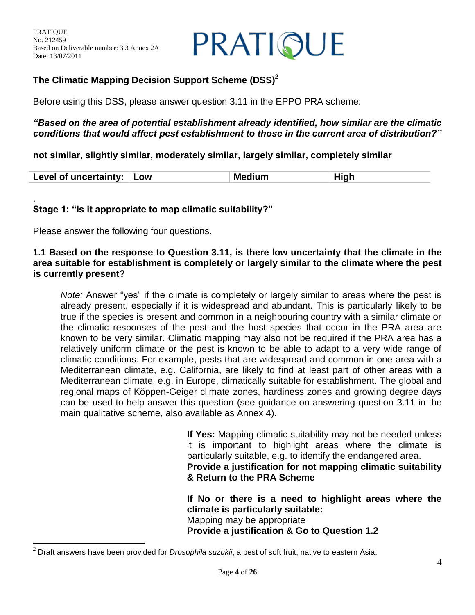PRATIQUE

## **The Climatic Mapping Decision Support Scheme (DSS)<sup>2</sup>**

Before using this DSS, please answer question 3.11 in the EPPO PRA scheme:

#### *"Based on the area of potential establishment already identified, how similar are the climatic conditions that would affect pest establishment to those in the current area of distribution?"*

#### **not similar, slightly similar, moderately similar, largely similar, completely similar**

|  | Level of uncertainty: Low |  | <b>Medium</b> | High |
|--|---------------------------|--|---------------|------|
|--|---------------------------|--|---------------|------|

#### . **Stage 1: "Is it appropriate to map climatic suitability?"**

Please answer the following four questions.

 $\overline{a}$ 

#### **1.1 Based on the response to Question 3.11, is there low uncertainty that the climate in the area suitable for establishment is completely or largely similar to the climate where the pest is currently present?**

*Note:* Answer "yes" if the climate is completely or largely similar to areas where the pest is already present, especially if it is widespread and abundant. This is particularly likely to be true if the species is present and common in a neighbouring country with a similar climate or the climatic responses of the pest and the host species that occur in the PRA area are known to be very similar. Climatic mapping may also not be required if the PRA area has a relatively uniform climate or the pest is known to be able to adapt to a very wide range of climatic conditions. For example, pests that are widespread and common in one area with a Mediterranean climate, e.g. California, are likely to find at least part of other areas with a Mediterranean climate, e.g. in Europe, climatically suitable for establishment. The global and regional maps of Köppen-Geiger climate zones, hardiness zones and growing degree days can be used to help answer this question (see guidance on answering question 3.11 in the main qualitative scheme, also available as Annex 4).

> **If Yes:** Mapping climatic suitability may not be needed unless it is important to highlight areas where the climate is particularly suitable, e.g. to identify the endangered area. **Provide a justification for not mapping climatic suitability & Return to the PRA Scheme**

> **If No or there is a need to highlight areas where the climate is particularly suitable:**  Mapping may be appropriate **Provide a justification & Go to Question 1.2**

<sup>2</sup> Draft answers have been provided for *Drosophila suzukii*, a pest of soft fruit, native to eastern Asia.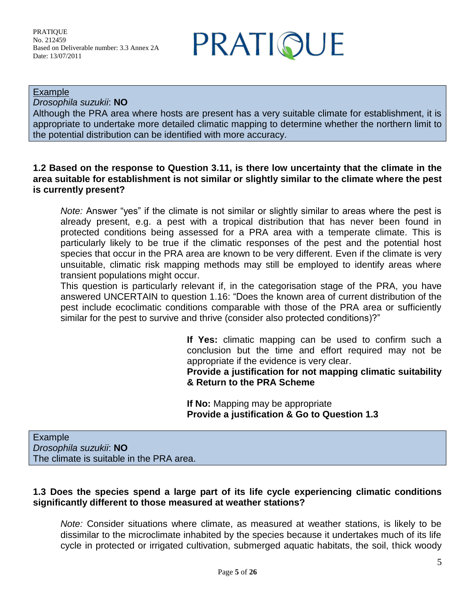PRATIQUE

Example

*Drosophila suzukii*: **NO**

Although the PRA area where hosts are present has a very suitable climate for establishment, it is appropriate to undertake more detailed climatic mapping to determine whether the northern limit to the potential distribution can be identified with more accuracy.

#### **1.2 Based on the response to Question 3.11, is there low uncertainty that the climate in the area suitable for establishment is not similar or slightly similar to the climate where the pest is currently present?**

*Note:* Answer "yes" if the climate is not similar or slightly similar to areas where the pest is already present, e.g. a pest with a tropical distribution that has never been found in protected conditions being assessed for a PRA area with a temperate climate. This is particularly likely to be true if the climatic responses of the pest and the potential host species that occur in the PRA area are known to be very different. Even if the climate is very unsuitable, climatic risk mapping methods may still be employed to identify areas where transient populations might occur.

This question is particularly relevant if, in the categorisation stage of the PRA, you have answered UNCERTAIN to question 1.16: "Does the known area of current distribution of the pest include ecoclimatic conditions comparable with those of the PRA area or sufficiently similar for the pest to survive and thrive (consider also protected conditions)?"

> **If Yes:** climatic mapping can be used to confirm such a conclusion but the time and effort required may not be appropriate if the evidence is very clear.

> **Provide a justification for not mapping climatic suitability & Return to the PRA Scheme**

**If No:** Mapping may be appropriate **Provide a justification & Go to Question 1.3**

Example *Drosophila suzukii*: **NO** The climate is suitable in the PRA area.

## **1.3 Does the species spend a large part of its life cycle experiencing climatic conditions significantly different to those measured at weather stations?**

*Note:* Consider situations where climate, as measured at weather stations, is likely to be dissimilar to the microclimate inhabited by the species because it undertakes much of its life cycle in protected or irrigated cultivation, submerged aquatic habitats, the soil, thick woody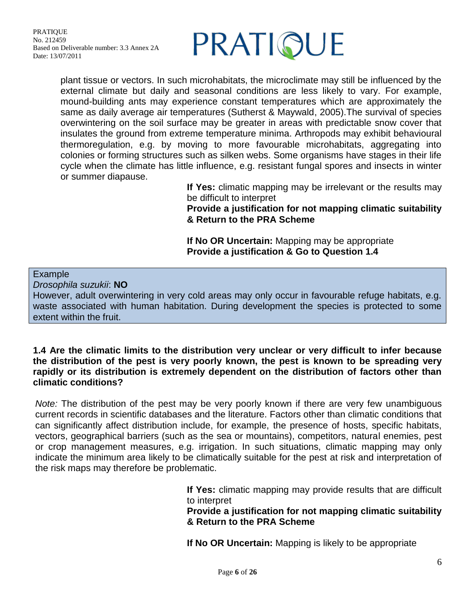

plant tissue or vectors. In such microhabitats, the microclimate may still be influenced by the external climate but daily and seasonal conditions are less likely to vary. For example, mound-building ants may experience constant temperatures which are approximately the same as daily average air temperatures (Sutherst & Maywald, 2005).The survival of species overwintering on the soil surface may be greater in areas with predictable snow cover that insulates the ground from extreme temperature minima. Arthropods may exhibit behavioural thermoregulation, e.g. by moving to more favourable microhabitats, aggregating into colonies or forming structures such as silken webs. Some organisms have stages in their life cycle when the climate has little influence, e.g. resistant fungal spores and insects in winter or summer diapause.

**If Yes:** climatic mapping may be irrelevant or the results may be difficult to interpret

**Provide a justification for not mapping climatic suitability & Return to the PRA Scheme**

**If No OR Uncertain:** Mapping may be appropriate **Provide a justification & Go to Question 1.4**

#### Example

*Drosophila suzukii*: **NO**

However, adult overwintering in very cold areas may only occur in favourable refuge habitats, e.g. waste associated with human habitation. During development the species is protected to some extent within the fruit.

#### **1.4 Are the climatic limits to the distribution very unclear or very difficult to infer because the distribution of the pest is very poorly known, the pest is known to be spreading very rapidly or its distribution is extremely dependent on the distribution of factors other than climatic conditions?**

*Note:* The distribution of the pest may be very poorly known if there are very few unambiguous current records in scientific databases and the literature. Factors other than climatic conditions that can significantly affect distribution include, for example, the presence of hosts, specific habitats, vectors, geographical barriers (such as the sea or mountains), competitors, natural enemies, pest or crop management measures, e.g. irrigation. In such situations, climatic mapping may only indicate the minimum area likely to be climatically suitable for the pest at risk and interpretation of the risk maps may therefore be problematic.

> **If Yes:** climatic mapping may provide results that are difficult to interpret

#### **Provide a justification for not mapping climatic suitability & Return to the PRA Scheme**

**If No OR Uncertain:** Mapping is likely to be appropriate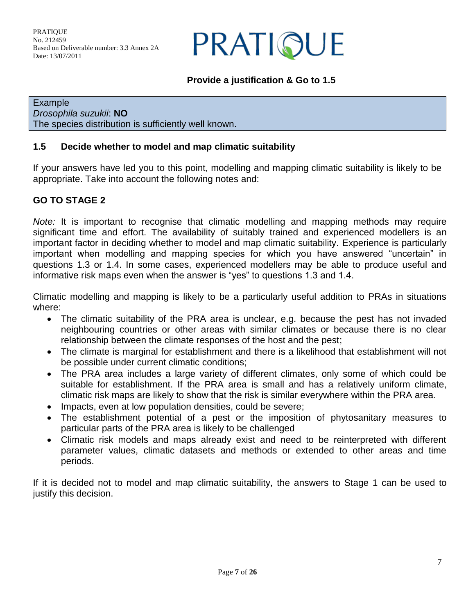PRATIQUE

## **Provide a justification & Go to 1.5**

Example *Drosophila suzukii*: **NO** The species distribution is sufficiently well known.

### **1.5 Decide whether to model and map climatic suitability**

If your answers have led you to this point, modelling and mapping climatic suitability is likely to be appropriate. Take into account the following notes and:

## **GO TO STAGE 2**

*Note:* It is important to recognise that climatic modelling and mapping methods may require significant time and effort. The availability of suitably trained and experienced modellers is an important factor in deciding whether to model and map climatic suitability. Experience is particularly important when modelling and mapping species for which you have answered "uncertain" in questions 1.3 or 1.4. In some cases, experienced modellers may be able to produce useful and informative risk maps even when the answer is "yes" to questions 1.3 and 1.4.

Climatic modelling and mapping is likely to be a particularly useful addition to PRAs in situations where:

- The climatic suitability of the PRA area is unclear, e.g. because the pest has not invaded neighbouring countries or other areas with similar climates or because there is no clear relationship between the climate responses of the host and the pest;
- The climate is marginal for establishment and there is a likelihood that establishment will not be possible under current climatic conditions;
- The PRA area includes a large variety of different climates, only some of which could be suitable for establishment. If the PRA area is small and has a relatively uniform climate, climatic risk maps are likely to show that the risk is similar everywhere within the PRA area.
- Impacts, even at low population densities, could be severe;
- The establishment potential of a pest or the imposition of phytosanitary measures to particular parts of the PRA area is likely to be challenged
- Climatic risk models and maps already exist and need to be reinterpreted with different parameter values, climatic datasets and methods or extended to other areas and time periods.

If it is decided not to model and map climatic suitability, the answers to Stage 1 can be used to justify this decision.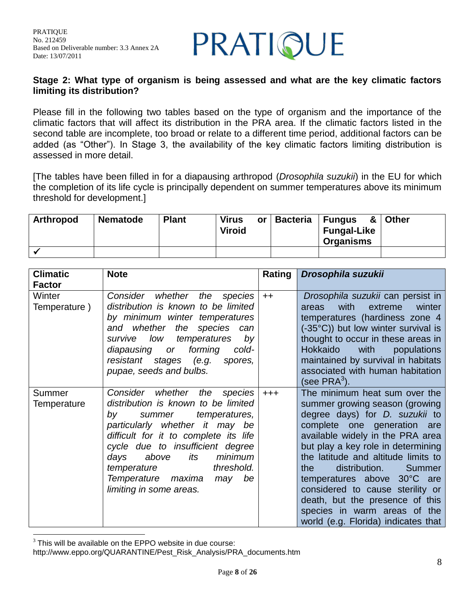

#### **Stage 2: What type of organism is being assessed and what are the key climatic factors limiting its distribution?**

Please fill in the following two tables based on the type of organism and the importance of the climatic factors that will affect its distribution in the PRA area. If the climatic factors listed in the second table are incomplete, too broad or relate to a different time period, additional factors can be added (as "Other"). In Stage 3, the availability of the key climatic factors limiting distribution is assessed in more detail.

[The tables have been filled in for a diapausing arthropod (*Drosophila suzukii*) in the EU for which the completion of its life cycle is principally dependent on summer temperatures above its minimum threshold for development.]

| <b>Arthropod</b> | <b>Nematode</b> | <b>Plant</b> | <b>Virus</b><br><b>Viroid</b> | or   Bacteria | ∣ Fungus<br><b>Fungal-Like</b><br><b>Organisms</b> | & Other |
|------------------|-----------------|--------------|-------------------------------|---------------|----------------------------------------------------|---------|
|                  |                 |              |                               |               |                                                    |         |

| <b>Climatic</b>        | <b>Note</b>                                                                                                                                                                                                                                                                                                                                          | Rating  | Drosophila suzukii                                                                                                                                                                                                                                                                                                                                                                                                                                                      |
|------------------------|------------------------------------------------------------------------------------------------------------------------------------------------------------------------------------------------------------------------------------------------------------------------------------------------------------------------------------------------------|---------|-------------------------------------------------------------------------------------------------------------------------------------------------------------------------------------------------------------------------------------------------------------------------------------------------------------------------------------------------------------------------------------------------------------------------------------------------------------------------|
| <b>Factor</b>          |                                                                                                                                                                                                                                                                                                                                                      |         |                                                                                                                                                                                                                                                                                                                                                                                                                                                                         |
| Winter<br>Temperature) | whether the<br>Consider<br>species<br>distribution is known to be limited<br>by minimum winter temperatures<br>the species can<br>and whether<br>temperatures<br>low<br>by<br>survive<br>forming<br>diapausing or<br>cold-<br>resistant stages (e.g.<br>spores,<br>pupae, seeds and bulbs.                                                           | $++$    | Drosophila suzukii can persist in<br>with<br>extreme<br>winter<br>areas<br>temperatures (hardiness zone 4<br>(-35°C)) but low winter survival is<br>thought to occur in these areas in<br>Hokkaido<br>with<br>populations<br>maintained by survival in habitats<br>associated with human habitation<br>(see PRA $3$ ).                                                                                                                                                  |
| Summer<br>Temperature  | Consider whether the<br>species<br>distribution is known to be limited<br>temperatures,<br>summer<br>bv<br>particularly whether it may be<br>difficult for it to complete its life<br>cycle due to insufficient degree<br>minimum<br>above<br>its<br>days<br>threshold.<br>temperature<br>Temperature maxima<br>be<br>may<br>limiting in some areas. | $+ + +$ | The minimum heat sum over the<br>summer growing season (growing<br>degree days) for <i>D. suzukii</i> to<br>complete one generation are<br>available widely in the PRA area<br>but play a key role in determining<br>the latitude and altitude limits to<br>distribution.<br>the<br>Summer<br>temperatures above 30°C are<br>considered to cause sterility or<br>death, but the presence of this<br>species in warm areas of the<br>world (e.g. Florida) indicates that |

 $\overline{a}$  $3$  This will be available on the EPPO website in due course:

http://www.eppo.org/QUARANTINE/Pest\_Risk\_Analysis/PRA\_documents.htm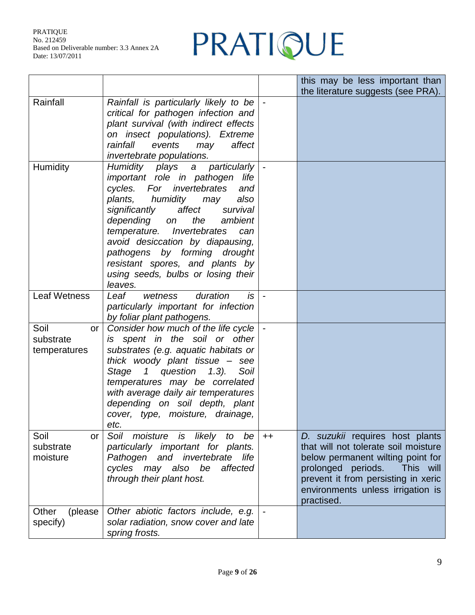## PRATIQUE

|                                         |                                                                                                                                                                                                                                                                                                                                                                                                                        |      | this may be less important than<br>the literature suggests (see PRA).                                                                                                                                                                     |
|-----------------------------------------|------------------------------------------------------------------------------------------------------------------------------------------------------------------------------------------------------------------------------------------------------------------------------------------------------------------------------------------------------------------------------------------------------------------------|------|-------------------------------------------------------------------------------------------------------------------------------------------------------------------------------------------------------------------------------------------|
| Rainfall                                | Rainfall is particularly likely to be<br>critical for pathogen infection and<br>plant survival (with indirect effects<br>on insect populations). Extreme<br>rainfall<br>events<br>may<br>affect<br>invertebrate populations.                                                                                                                                                                                           |      |                                                                                                                                                                                                                                           |
| <b>Humidity</b>                         | Humidity plays a particularly<br>important role in pathogen<br>life<br>invertebrates<br>cycles.<br>For<br>and<br>plants, humidity may<br>also<br>affect<br>significantly<br>survival<br>depending<br>the<br>ambient<br>on<br>temperature. Invertebrates<br>can<br>avoid desiccation by diapausing,<br>pathogens by forming drought<br>resistant spores, and plants by<br>using seeds, bulbs or losing their<br>leaves. |      |                                                                                                                                                                                                                                           |
| <b>Leaf Wetness</b>                     | Leaf<br>duration<br>$i$ s<br>wetness<br>particularly important for infection<br>by foliar plant pathogens.                                                                                                                                                                                                                                                                                                             |      |                                                                                                                                                                                                                                           |
| Soil<br>or<br>substrate<br>temperatures | Consider how much of the life cycle<br>spent in the soil or other<br>is<br>substrates (e.g. aquatic habitats or<br>thick woody plant tissue - see<br>Stage 1 question 1.3).<br>Soil<br>temperatures may be correlated<br>with average daily air temperatures<br>depending on soil depth, plant<br>cover, type, moisture, drainage,<br>etc.                                                                             |      |                                                                                                                                                                                                                                           |
| Soil<br>or<br>substrate<br>moisture     | Soil<br>moisture is likely to<br>be<br>particularly important for plants.<br>Pathogen and invertebrate life<br>cycles may also<br>be<br>affected<br>through their plant host.                                                                                                                                                                                                                                          | $++$ | D. suzukii requires host plants<br>that will not tolerate soil moisture<br>below permanent wilting point for<br>prolonged periods.<br>This will<br>prevent it from persisting in xeric<br>environments unless irrigation is<br>practised. |
| Other<br>(please)<br>specify)           | Other abiotic factors include, e.g.<br>solar radiation, snow cover and late<br>spring frosts.                                                                                                                                                                                                                                                                                                                          |      |                                                                                                                                                                                                                                           |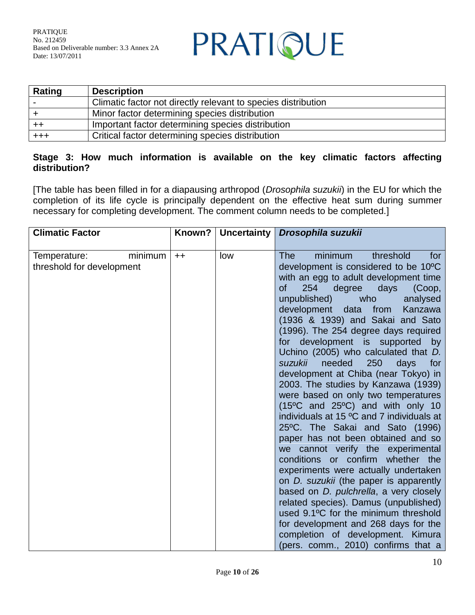PRATIQUE

| <b>Rating</b> | <b>Description</b>                                            |
|---------------|---------------------------------------------------------------|
|               | Climatic factor not directly relevant to species distribution |
|               | Minor factor determining species distribution                 |
|               | Important factor determining species distribution             |
| $^{+++}$      | Critical factor determining species distribution              |

#### **Stage 3: How much information is available on the key climatic factors affecting distribution?**

[The table has been filled in for a diapausing arthropod (*Drosophila suzukii*) in the EU for which the completion of its life cycle is principally dependent on the effective heat sum during summer necessary for completing development. The comment column needs to be completed.]

| <b>Climatic Factor</b>                               | Known? | Uncertainty | Drosophila suzukii                                                                                                                                                                                                                                                                                                                                                                                                                                                                                                                                                                                                                                                                                                                                                                                                                                                                                                                                                                                                                                                                                                                                                              |
|------------------------------------------------------|--------|-------------|---------------------------------------------------------------------------------------------------------------------------------------------------------------------------------------------------------------------------------------------------------------------------------------------------------------------------------------------------------------------------------------------------------------------------------------------------------------------------------------------------------------------------------------------------------------------------------------------------------------------------------------------------------------------------------------------------------------------------------------------------------------------------------------------------------------------------------------------------------------------------------------------------------------------------------------------------------------------------------------------------------------------------------------------------------------------------------------------------------------------------------------------------------------------------------|
|                                                      |        |             |                                                                                                                                                                                                                                                                                                                                                                                                                                                                                                                                                                                                                                                                                                                                                                                                                                                                                                                                                                                                                                                                                                                                                                                 |
| minimum<br>Temperature:<br>threshold for development | $++$   | low         | minimum<br>threshold<br><b>The</b><br>for<br>development is considered to be 10°C<br>with an egg to adult development time<br>254<br>(Coop,<br>οf<br>degree<br>days<br>unpublished)<br>who<br>analysed<br>development data<br>Kanzawa<br>from<br>(1936 & 1939) and Sakai and Sato<br>(1996). The 254 degree days required<br>for development is supported<br>by<br>Uchino (2005) who calculated that D.<br>needed<br>suzukii<br>250<br>days<br>for<br>development at Chiba (near Tokyo) in<br>2003. The studies by Kanzawa (1939)<br>were based on only two temperatures<br>$(15^{\circ}C$ and $25^{\circ}C$ ) and with only 10<br>individuals at 15 °C and 7 individuals at<br>25°C. The Sakai and Sato (1996)<br>paper has not been obtained and so<br>we cannot verify the experimental<br>conditions or confirm whether the<br>experiments were actually undertaken<br>on <i>D. suzukii</i> (the paper is apparently<br>based on <i>D. pulchrella</i> , a very closely<br>related species). Damus (unpublished)<br>used 9.1°C for the minimum threshold<br>for development and 268 days for the<br>completion of development. Kimura<br>(pers. comm., 2010) confirms that a |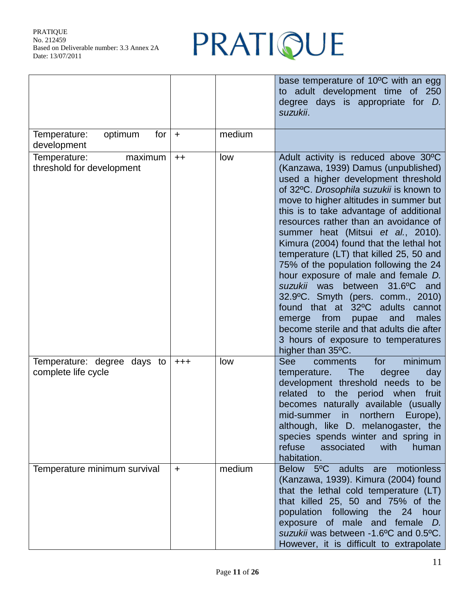## PRATIQUE

|                                                      |           |        | base temperature of 10°C with an egg<br>adult development time of 250<br>to<br>degree days is appropriate for <i>D</i> .<br>suzukii.                                                                                                                                                                                                                                                                                                                                                                                                                                                                                                                                                                                                                                   |
|------------------------------------------------------|-----------|--------|------------------------------------------------------------------------------------------------------------------------------------------------------------------------------------------------------------------------------------------------------------------------------------------------------------------------------------------------------------------------------------------------------------------------------------------------------------------------------------------------------------------------------------------------------------------------------------------------------------------------------------------------------------------------------------------------------------------------------------------------------------------------|
| optimum<br>Temperature:<br>for<br>development        | $+$       | medium |                                                                                                                                                                                                                                                                                                                                                                                                                                                                                                                                                                                                                                                                                                                                                                        |
| Temperature:<br>maximum<br>threshold for development | $++$      | low    | Adult activity is reduced above 30°C<br>(Kanzawa, 1939) Damus (unpublished)<br>used a higher development threshold<br>of 32°C. Drosophila suzukii is known to<br>move to higher altitudes in summer but<br>this is to take advantage of additional<br>resources rather than an avoidance of<br>summer heat (Mitsui et al., 2010).<br>Kimura (2004) found that the lethal hot<br>temperature (LT) that killed 25, 50 and<br>75% of the population following the 24<br>hour exposure of male and female D.<br>suzukii was between 31.6°C and<br>32.9°C. Smyth (pers. comm., 2010)<br>found that at 32°C adults<br>cannot<br>emerge from<br>and<br>males<br>pupae<br>become sterile and that adults die after<br>3 hours of exposure to temperatures<br>higher than 35°C. |
| Temperature: degree days to<br>complete life cycle   | $+ + +$   | low    | minimum<br><b>See</b><br>for<br>comments<br>degree<br>day<br>temperature.<br><b>The</b><br>development threshold needs to be<br>related to<br>the period when<br>fruit<br>becomes naturally available (usually<br>mid-summer in<br>northern<br>Europe),<br>although, like D. melanogaster, the<br>species spends winter and spring in<br>refuse<br>associated<br>with<br>human<br>habitation.                                                                                                                                                                                                                                                                                                                                                                          |
| Temperature minimum survival                         | $\ddot{}$ | medium | Below 5°C<br>adults<br>motionless<br>are<br>(Kanzawa, 1939). Kimura (2004) found<br>that the lethal cold temperature (LT)<br>that killed 25, 50 and 75% of the<br>population<br>following<br>the 24 hour<br>exposure of male and female D.<br>suzukii was between -1.6°C and 0.5°C.<br>However, it is difficult to extrapolate                                                                                                                                                                                                                                                                                                                                                                                                                                         |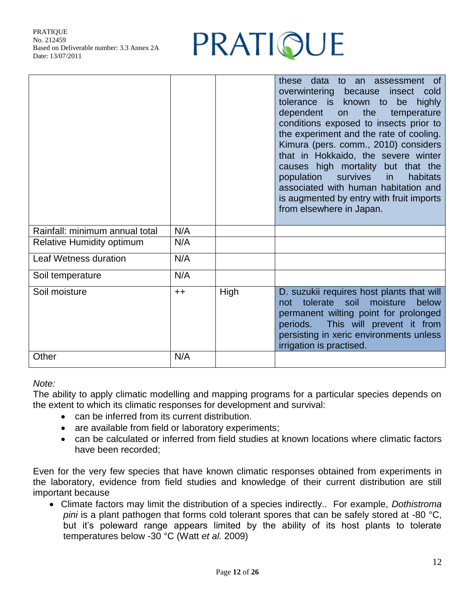

|                                  |      |      | these data to an assessment of<br>overwintering because<br>insect<br>cold<br>tolerance is known to be<br>highly<br>the<br>dependent<br>temperature<br>on<br>conditions exposed to insects prior to<br>the experiment and the rate of cooling.<br>Kimura (pers. comm., 2010) considers<br>that in Hokkaido, the severe winter<br>causes high mortality but that the<br>survives<br>population<br>habitats<br><i>in</i><br>associated with human habitation and<br>is augmented by entry with fruit imports<br>from elsewhere in Japan. |
|----------------------------------|------|------|---------------------------------------------------------------------------------------------------------------------------------------------------------------------------------------------------------------------------------------------------------------------------------------------------------------------------------------------------------------------------------------------------------------------------------------------------------------------------------------------------------------------------------------|
| Rainfall: minimum annual total   | N/A  |      |                                                                                                                                                                                                                                                                                                                                                                                                                                                                                                                                       |
| <b>Relative Humidity optimum</b> | N/A  |      |                                                                                                                                                                                                                                                                                                                                                                                                                                                                                                                                       |
| Leaf Wetness duration            | N/A  |      |                                                                                                                                                                                                                                                                                                                                                                                                                                                                                                                                       |
| Soil temperature                 | N/A  |      |                                                                                                                                                                                                                                                                                                                                                                                                                                                                                                                                       |
| Soil moisture                    | $++$ | High | D. suzukii requires host plants that will<br>tolerate<br>soil<br>moisture<br>below<br>not<br>permanent wilting point for prolonged<br>This will prevent it from<br>periods.<br>persisting in xeric environments unless<br>irrigation is practised.                                                                                                                                                                                                                                                                                    |
| Other                            | N/A  |      |                                                                                                                                                                                                                                                                                                                                                                                                                                                                                                                                       |

*Note:*

The ability to apply climatic modelling and mapping programs for a particular species depends on the extent to which its climatic responses for development and survival:

- can be inferred from its current distribution.
- are available from field or laboratory experiments;
- can be calculated or inferred from field studies at known locations where climatic factors have been recorded;

Even for the very few species that have known climatic responses obtained from experiments in the laboratory, evidence from field studies and knowledge of their current distribution are still important because

 Climate factors may limit the distribution of a species indirectly.. For example, *Dothistroma pini* is a plant pathogen that forms cold tolerant spores that can be safely stored at -80 °C, but it's poleward range appears limited by the ability of its host plants to tolerate temperatures below -30 °C (Watt *et al.* 2009)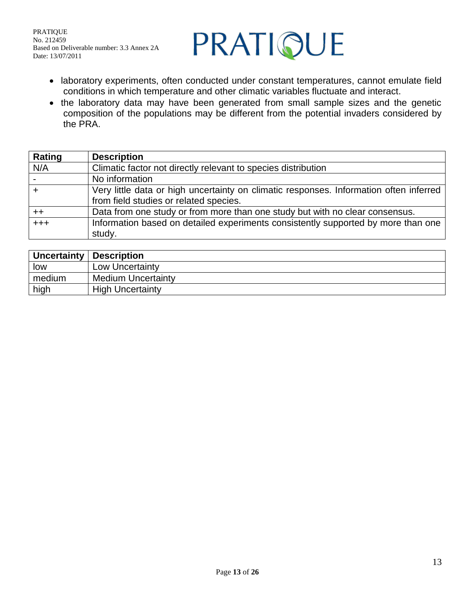

- laboratory experiments, often conducted under constant temperatures, cannot emulate field conditions in which temperature and other climatic variables fluctuate and interact.
- the laboratory data may have been generated from small sample sizes and the genetic composition of the populations may be different from the potential invaders considered by the PRA.

| Rating | <b>Description</b>                                                                     |
|--------|----------------------------------------------------------------------------------------|
| N/A    | Climatic factor not directly relevant to species distribution                          |
|        | No information                                                                         |
|        | Very little data or high uncertainty on climatic responses. Information often inferred |
|        | from field studies or related species.                                                 |
| $++$   | Data from one study or from more than one study but with no clear consensus.           |
| $+++$  | Information based on detailed experiments consistently supported by more than one      |
|        | study.                                                                                 |

| <b>Uncertainty</b> | Description               |
|--------------------|---------------------------|
| low                | Low Uncertainty           |
| medium             | <b>Medium Uncertainty</b> |
| high               | <b>High Uncertainty</b>   |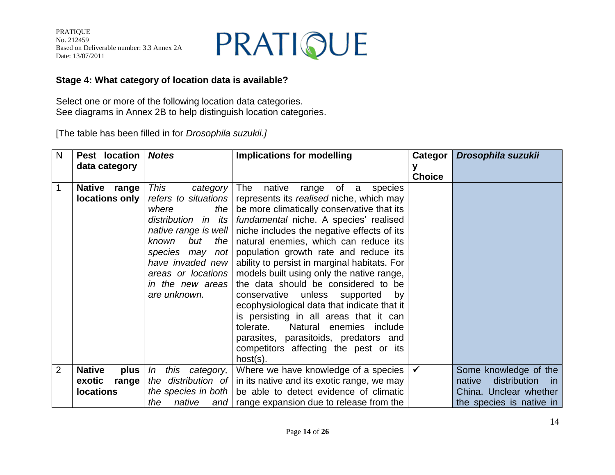

#### **Stage 4: What category of location data is available?**

Select one or more of the following location data categories. See diagrams in Annex 2B to help distinguish location categories.

[The table has been filled in for *Drosophila suzukii.]*

| N              | Pest location                            | <b>Notes</b>                                                                                                                                                            | <b>Implications for modelling</b>                                                                                                                                                                                                                                                                                                                                                                                                                                                                                                                                                                                                                                                                                                                                                        | Categor       | Drosophila suzukii                                       |
|----------------|------------------------------------------|-------------------------------------------------------------------------------------------------------------------------------------------------------------------------|------------------------------------------------------------------------------------------------------------------------------------------------------------------------------------------------------------------------------------------------------------------------------------------------------------------------------------------------------------------------------------------------------------------------------------------------------------------------------------------------------------------------------------------------------------------------------------------------------------------------------------------------------------------------------------------------------------------------------------------------------------------------------------------|---------------|----------------------------------------------------------|
|                | data category                            |                                                                                                                                                                         |                                                                                                                                                                                                                                                                                                                                                                                                                                                                                                                                                                                                                                                                                                                                                                                          | <b>Choice</b> |                                                          |
| $\mathbf{1}$   | Native range<br>locations only           | <b>This</b><br>category<br>the $ $<br>where<br>but<br>the $ $<br>known<br>species may not<br>have invaded new<br>areas or locations<br>in the new areas<br>are unknown. | The native<br>range of a<br>species<br>refers to situations   represents its realised niche, which may<br>be more climatically conservative that its<br>distribution in its   fundamental niche. A species' realised<br>native range is well   niche includes the negative effects of its<br>natural enemies, which can reduce its<br>population growth rate and reduce its<br>ability to persist in marginal habitats. For<br>models built using only the native range,<br>the data should be considered to be<br>conservative unless supported<br>by<br>ecophysiological data that indicate that it<br>is persisting in all areas that it can<br>Natural enemies include<br>tolerate.<br>parasites, parasitoids, predators and<br>competitors affecting the pest or its<br>$host(s)$ . |               |                                                          |
| $\overline{2}$ | <b>Native</b><br>plus<br>exotic<br>range | this category,<br>In                                                                                                                                                    | Where we have knowledge of a species<br>the distribution of $\vert$ in its native and its exotic range, we may                                                                                                                                                                                                                                                                                                                                                                                                                                                                                                                                                                                                                                                                           | ✓             | Some knowledge of the<br>distribution<br>native<br>in in |
|                | <b>locations</b>                         | the<br>native                                                                                                                                                           | the species in both $\vert$ be able to detect evidence of climatic<br>and   range expansion due to release from the                                                                                                                                                                                                                                                                                                                                                                                                                                                                                                                                                                                                                                                                      |               | China. Unclear whether<br>the species is native in       |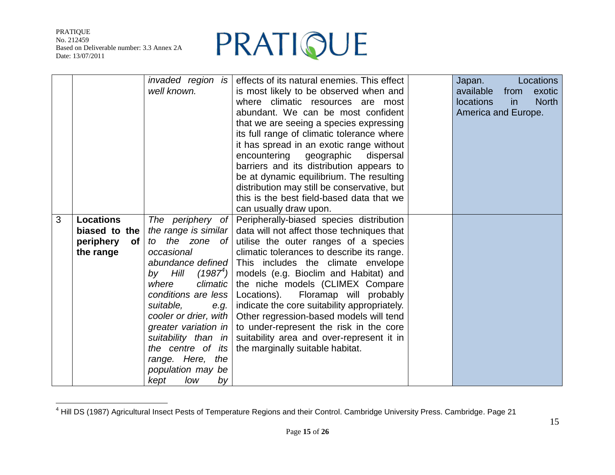$\overline{a}$ 



|   |                        | invaded region is     | effects of its natural enemies. This effect  | Locations<br>Japan.                    |
|---|------------------------|-----------------------|----------------------------------------------|----------------------------------------|
|   |                        | well known.           | is most likely to be observed when and       | available<br>from<br>exotic            |
|   |                        |                       | where climatic resources are most            | <b>North</b><br><b>locations</b><br>in |
|   |                        |                       | abundant. We can be most confident           | America and Europe.                    |
|   |                        |                       | that we are seeing a species expressing      |                                        |
|   |                        |                       | its full range of climatic tolerance where   |                                        |
|   |                        |                       | it has spread in an exotic range without     |                                        |
|   |                        |                       | encountering geographic<br>dispersal         |                                        |
|   |                        |                       | barriers and its distribution appears to     |                                        |
|   |                        |                       | be at dynamic equilibrium. The resulting     |                                        |
|   |                        |                       | distribution may still be conservative, but  |                                        |
|   |                        |                       | this is the best field-based data that we    |                                        |
|   |                        |                       | can usually draw upon.                       |                                        |
| 3 | <b>Locations</b>       | The periphery of      | Peripherally-biased species distribution     |                                        |
|   | biased to the          | the range is similar  | data will not affect those techniques that   |                                        |
|   | periphery<br><b>of</b> | the zone of<br>to to  | utilise the outer ranges of a species        |                                        |
|   | the range              | occasional            | climatic tolerances to describe its range.   |                                        |
|   |                        | abundance defined     | This includes the climate envelope           |                                        |
|   |                        | by Hill $(1987^4)$    | models (e.g. Bioclim and Habitat) and        |                                        |
|   |                        | where<br>climatic     | the niche models (CLIMEX Compare             |                                        |
|   |                        | conditions are less   | Locations).<br>Floramap will probably        |                                        |
|   |                        | suitable.<br>e.g.     | indicate the core suitability appropriately. |                                        |
|   |                        | cooler or drier, with | Other regression-based models will tend      |                                        |
|   |                        | greater variation in  | to under-represent the risk in the core      |                                        |
|   |                        | suitability than in   | suitability area and over-represent it in    |                                        |
|   |                        | the centre of its     | the marginally suitable habitat.             |                                        |
|   |                        | range. Here, the      |                                              |                                        |
|   |                        | population may be     |                                              |                                        |
|   |                        | kept<br>low<br>by     |                                              |                                        |

 $^4$  Hill DS (1987) Agricultural Insect Pests of Temperature Regions and their Control. Cambridge University Press. Cambridge. Page 21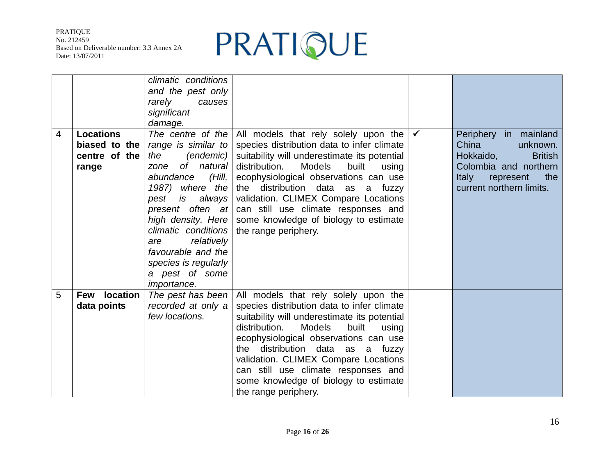

|                |                  | climatic conditions<br>and the pest only |                                                                              |                             |
|----------------|------------------|------------------------------------------|------------------------------------------------------------------------------|-----------------------------|
|                |                  | rarely<br>causes                         |                                                                              |                             |
|                |                  | significant                              |                                                                              |                             |
|                |                  | damage.                                  |                                                                              |                             |
| $\overline{4}$ | <b>Locations</b> | The centre of the                        | All models that rely solely upon the                                         | Periphery in mainland       |
|                | biased to the    | range is similar to                      | species distribution data to infer climate                                   | China<br>unknown.           |
|                | centre of the    | (endemic)<br>the                         | suitability will underestimate its potential                                 | <b>British</b><br>Hokkaido, |
|                | range            | of natural<br>zone                       | distribution.<br>Models<br>built<br>using                                    | Colombia and northern       |
|                |                  | abundance<br>(Hill,                      | ecophysiological observations can use                                        | the<br>Italy<br>represent   |
|                |                  | 1987) where the                          | the distribution data as a fuzzy                                             | current northern limits.    |
|                |                  | pest<br>always<br>is                     | validation. CLIMEX Compare Locations                                         |                             |
|                |                  | present often at<br>high density. Here   | can still use climate responses and<br>some knowledge of biology to estimate |                             |
|                |                  | climatic conditions                      | the range periphery.                                                         |                             |
|                |                  | relatively<br>are                        |                                                                              |                             |
|                |                  | favourable and the                       |                                                                              |                             |
|                |                  | species is regularly                     |                                                                              |                             |
|                |                  | a pest of some                           |                                                                              |                             |
|                |                  | <i>importance.</i>                       |                                                                              |                             |
| 5              | Few location     | The pest has been                        | All models that rely solely upon the                                         |                             |
|                | data points      | recorded at only a                       | species distribution data to infer climate                                   |                             |
|                |                  | few locations.                           | suitability will underestimate its potential                                 |                             |
|                |                  |                                          | Models<br>distribution.<br>built<br>using                                    |                             |
|                |                  |                                          | ecophysiological observations can use                                        |                             |
|                |                  |                                          | the distribution data as a fuzzy                                             |                             |
|                |                  |                                          | validation. CLIMEX Compare Locations                                         |                             |
|                |                  |                                          | can still use climate responses and                                          |                             |
|                |                  |                                          | some knowledge of biology to estimate                                        |                             |
|                |                  |                                          | the range periphery.                                                         |                             |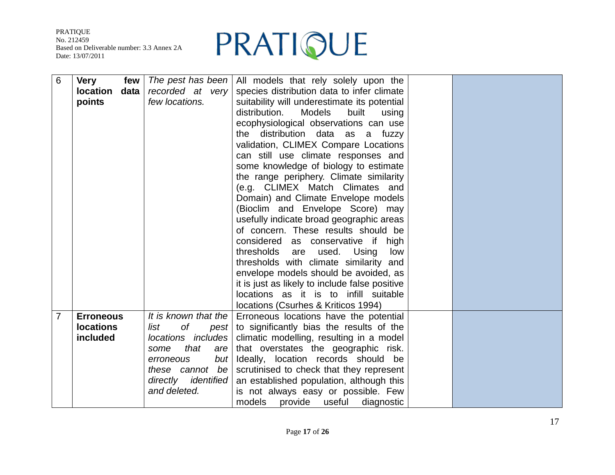

| $6\phantom{1}6$ | <b>Very</b><br>few      | The pest has been    | All models that rely solely upon the           |  |
|-----------------|-------------------------|----------------------|------------------------------------------------|--|
|                 | <b>location</b><br>data | recorded at very     | species distribution data to infer climate     |  |
|                 | points                  | few locations.       | suitability will underestimate its potential   |  |
|                 |                         |                      | distribution.<br>Models<br>built<br>using      |  |
|                 |                         |                      | ecophysiological observations can use          |  |
|                 |                         |                      | the distribution data as a fuzzy               |  |
|                 |                         |                      | validation, CLIMEX Compare Locations           |  |
|                 |                         |                      | can still use climate responses and            |  |
|                 |                         |                      | some knowledge of biology to estimate          |  |
|                 |                         |                      | the range periphery. Climate similarity        |  |
|                 |                         |                      | (e.g. CLIMEX Match Climates and                |  |
|                 |                         |                      | Domain) and Climate Envelope models            |  |
|                 |                         |                      | (Bioclim and Envelope Score) may               |  |
|                 |                         |                      | usefully indicate broad geographic areas       |  |
|                 |                         |                      | of concern. These results should be            |  |
|                 |                         |                      | considered as conservative if high             |  |
|                 |                         |                      | thresholds are<br>used.<br>Using<br>low        |  |
|                 |                         |                      | thresholds with climate similarity and         |  |
|                 |                         |                      | envelope models should be avoided, as          |  |
|                 |                         |                      | it is just as likely to include false positive |  |
|                 |                         |                      | locations as it is to infill suitable          |  |
|                 |                         |                      | locations (Csurhes & Kriticos 1994)            |  |
| $\overline{7}$  | <b>Erroneous</b>        | It is known that the | Erroneous locations have the potential         |  |
|                 | <b>locations</b>        | of<br>list<br>pest   | to significantly bias the results of the       |  |
|                 | included                | locations includes   | climatic modelling, resulting in a model       |  |
|                 |                         | that<br>some<br>are  | that overstates the geographic risk.           |  |
|                 |                         | but<br>erroneous     | Ideally, location records should be            |  |
|                 |                         | these cannot be      | scrutinised to check that they represent       |  |
|                 |                         | directly identified  | an established population, although this       |  |
|                 |                         | and deleted.         | is not always easy or possible. Few            |  |
|                 |                         |                      | models<br>provide<br>useful<br>diagnostic      |  |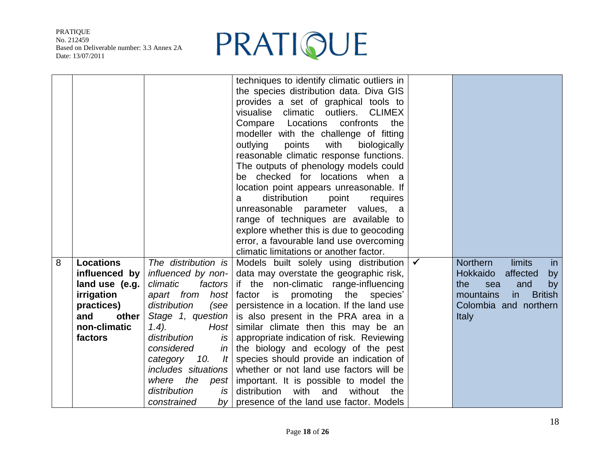

|   |                                                                                                                            |                                                                                                                                                                                                                                                                                                                                | techniques to identify climatic outliers in<br>the species distribution data. Diva GIS<br>provides a set of graphical tools to<br>climatic outliers.<br><b>CLIMEX</b><br>visualise<br>confronts<br>Locations<br>the<br>Compare<br>modeller with the challenge of fitting<br>with<br>outlying<br>points<br>biologically<br>reasonable climatic response functions.<br>The outputs of phenology models could<br>be checked for locations when a                                                                                                                                                               |              |                                                                                                                                                                                      |
|---|----------------------------------------------------------------------------------------------------------------------------|--------------------------------------------------------------------------------------------------------------------------------------------------------------------------------------------------------------------------------------------------------------------------------------------------------------------------------|-------------------------------------------------------------------------------------------------------------------------------------------------------------------------------------------------------------------------------------------------------------------------------------------------------------------------------------------------------------------------------------------------------------------------------------------------------------------------------------------------------------------------------------------------------------------------------------------------------------|--------------|--------------------------------------------------------------------------------------------------------------------------------------------------------------------------------------|
|   |                                                                                                                            |                                                                                                                                                                                                                                                                                                                                | location point appears unreasonable. If<br>distribution<br>point<br>requires<br>a<br>unreasonable parameter values, a<br>range of techniques are available to<br>explore whether this is due to geocoding<br>error, a favourable land use overcoming<br>climatic limitations or another factor.                                                                                                                                                                                                                                                                                                             |              |                                                                                                                                                                                      |
| 8 | <b>Locations</b><br>influenced by<br>land use (e.g.<br>irrigation<br>practices)<br>and<br>other<br>non-climatic<br>factors | The distribution is<br>influenced by non-<br>climatic<br>factors<br>apart from<br>host<br>distribution<br>(see<br>Stage 1, question<br>Host<br>$1.4$ ).<br>distribution<br>is<br>considered<br>in<br>category<br>10.<br>It<br>includes situations<br>the pest<br>where<br>distribution<br>is<br>constrained<br>by <sub>l</sub> | Models built solely using distribution<br>data may overstate the geographic risk,<br>if the non-climatic range-influencing<br>factor is promoting the species'<br>persistence in a location. If the land use<br>is also present in the PRA area in a<br>similar climate then this may be an<br>appropriate indication of risk. Reviewing<br>the biology and ecology of the pest<br>species should provide an indication of<br>whether or not land use factors will be<br>important. It is possible to model the<br>distribution<br>with<br>and<br>without<br>the<br>presence of the land use factor. Models | $\checkmark$ | <b>Northern</b><br><b>limits</b><br>in<br><b>Hokkaido</b><br>affected<br>by<br>the<br>and<br>sea<br>by<br>mountains<br><b>British</b><br>in<br>Colombia and northern<br><b>Italy</b> |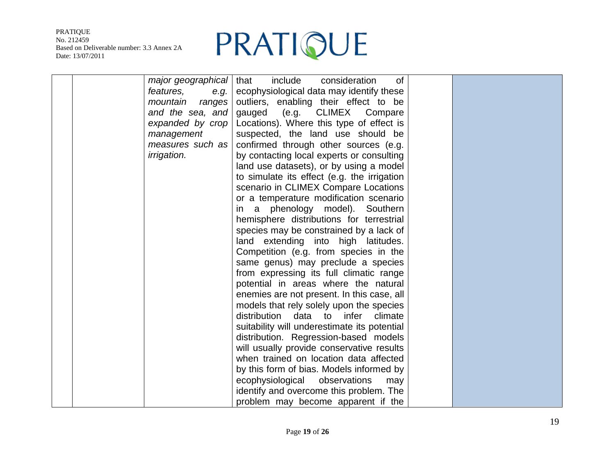

|  | major geographical | consideration<br>include<br>of<br>that       |  |
|--|--------------------|----------------------------------------------|--|
|  | features,<br>e.g.  | ecophysiological data may identify these     |  |
|  | mountain ranges    | outliers, enabling their effect to be        |  |
|  | and the sea, and   | <b>CLIMEX</b><br>gauged<br>(e.g.<br>Compare  |  |
|  | expanded by crop   | Locations). Where this type of effect is     |  |
|  | management         | suspected, the land use should be            |  |
|  | measures such as   | confirmed through other sources (e.g.        |  |
|  | <i>irrigation.</i> | by contacting local experts or consulting    |  |
|  |                    | land use datasets), or by using a model      |  |
|  |                    | to simulate its effect (e.g. the irrigation  |  |
|  |                    | scenario in CLIMEX Compare Locations         |  |
|  |                    | or a temperature modification scenario       |  |
|  |                    | phenology model). Southern<br>in a           |  |
|  |                    | hemisphere distributions for terrestrial     |  |
|  |                    | species may be constrained by a lack of      |  |
|  |                    | land extending into high latitudes.          |  |
|  |                    | Competition (e.g. from species in the        |  |
|  |                    | same genus) may preclude a species           |  |
|  |                    | from expressing its full climatic range      |  |
|  |                    | potential in areas where the natural         |  |
|  |                    | enemies are not present. In this case, all   |  |
|  |                    | models that rely solely upon the species     |  |
|  |                    | distribution data<br>to<br>infer<br>climate  |  |
|  |                    | suitability will underestimate its potential |  |
|  |                    | distribution. Regression-based models        |  |
|  |                    | will usually provide conservative results    |  |
|  |                    | when trained on location data affected       |  |
|  |                    | by this form of bias. Models informed by     |  |
|  |                    | ecophysiological observations<br>may         |  |
|  |                    | identify and overcome this problem. The      |  |
|  |                    | problem may become apparent if the           |  |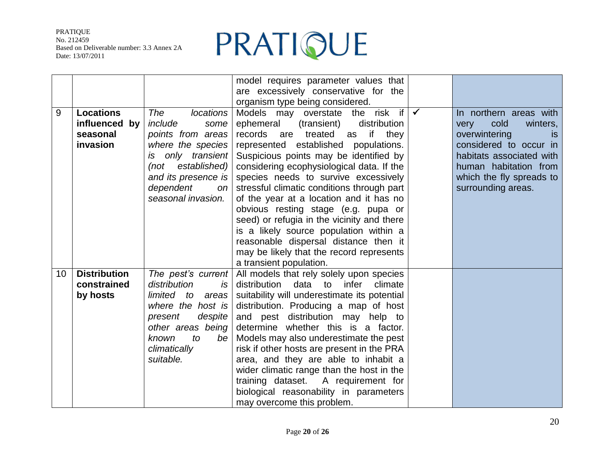

|                 |                                                           |                                                                                                                                                                                   | model requires parameter values that<br>are excessively conservative for the                                                                                                                                                                                                                                                                                                                                                                                                                                                                                |              |                                                                                                                                                                                             |
|-----------------|-----------------------------------------------------------|-----------------------------------------------------------------------------------------------------------------------------------------------------------------------------------|-------------------------------------------------------------------------------------------------------------------------------------------------------------------------------------------------------------------------------------------------------------------------------------------------------------------------------------------------------------------------------------------------------------------------------------------------------------------------------------------------------------------------------------------------------------|--------------|---------------------------------------------------------------------------------------------------------------------------------------------------------------------------------------------|
| 9               | <b>Locations</b><br>influenced by<br>seasonal<br>invasion | <b>locations</b><br>The<br>include<br>some<br>points from areas<br>where the species<br>only transient<br>is.<br>established)<br>(not<br>and its presence is                      | organism type being considered.<br>Models may overstate the risk if<br>distribution<br>ephemeral<br>(transient)<br>records are treated as if<br>they<br>represented established populations.<br>Suspicious points may be identified by<br>considering ecophysiological data. If the<br>species needs to survive excessively                                                                                                                                                                                                                                 | $\checkmark$ | In northern areas with<br>cold<br>winters,<br>very<br>overwintering<br><b>is</b><br>considered to occur in<br>habitats associated with<br>human habitation from<br>which the fly spreads to |
|                 |                                                           | dependent<br>on<br>seasonal invasion.                                                                                                                                             | stressful climatic conditions through part<br>of the year at a location and it has no<br>obvious resting stage (e.g. pupa or<br>seed) or refugia in the vicinity and there<br>is a likely source population within a<br>reasonable dispersal distance then it<br>may be likely that the record represents<br>a transient population.                                                                                                                                                                                                                        |              | surrounding areas.                                                                                                                                                                          |
| 10 <sup>°</sup> | <b>Distribution</b><br>constrained<br>by hosts            | The pest's current<br>distribution<br>is<br>limited to<br>areas<br>where the host is<br>despite<br>present<br>other areas being<br>known<br>to<br>be<br>climatically<br>suitable. | All models that rely solely upon species<br>distribution<br>data<br>to<br>infer<br>climate<br>suitability will underestimate its potential<br>distribution. Producing a map of host<br>and pest distribution may help to<br>determine whether this is a factor.<br>Models may also underestimate the pest<br>risk if other hosts are present in the PRA<br>area, and they are able to inhabit a<br>wider climatic range than the host in the<br>training dataset. A requirement for<br>biological reasonability in parameters<br>may overcome this problem. |              |                                                                                                                                                                                             |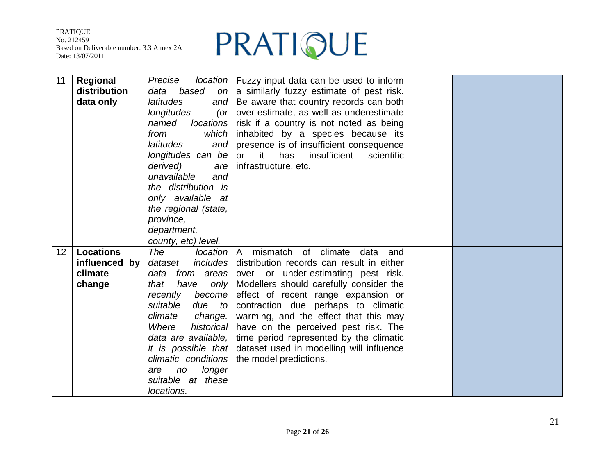

| 11              | Regional<br>distribution<br>data only                  | Precise<br>based<br>data<br>on<br>latitudes<br>and<br>longitudes<br>(<br>locations<br>named<br>which<br>from<br>latitudes<br>and<br>longitudes can be<br>derived)<br>are<br>unavailable<br>and<br>the distribution is<br>only available at<br>the regional (state,<br>province,<br>department,<br>county, etc) level.     | <i>location</i>   Fuzzy input data can be used to inform<br>a similarly fuzzy estimate of pest risk.<br>Be aware that country records can both<br>over-estimate, as well as underestimate<br>risk if a country is not noted as being<br>inhabited by a species because its<br>presence is of insufficient consequence<br>or it<br>has<br>insufficient<br>scientific<br>infrastructure, etc.                                                                           |  |
|-----------------|--------------------------------------------------------|---------------------------------------------------------------------------------------------------------------------------------------------------------------------------------------------------------------------------------------------------------------------------------------------------------------------------|-----------------------------------------------------------------------------------------------------------------------------------------------------------------------------------------------------------------------------------------------------------------------------------------------------------------------------------------------------------------------------------------------------------------------------------------------------------------------|--|
| 12 <sub>2</sub> | <b>Locations</b><br>influenced by<br>climate<br>change | The<br>location<br><i>includes</i><br>dataset<br>data from areas<br>have<br>only  <br>that<br>become<br>recently<br>suitable<br>due to<br>climate<br>change.<br>Where<br>historical<br>data are available,<br><i>it is possible that</i><br>climatic conditions<br>longer<br>no<br>are<br>suitable at these<br>locations. | mismatch<br>of climate<br>$\mathsf{A}$<br>data<br>and<br>distribution records can result in either<br>over- or under-estimating pest risk.<br>Modellers should carefully consider the<br>effect of recent range expansion or<br>contraction due perhaps to climatic<br>warming, and the effect that this may<br>have on the perceived pest risk. The<br>time period represented by the climatic<br>dataset used in modelling will influence<br>the model predictions. |  |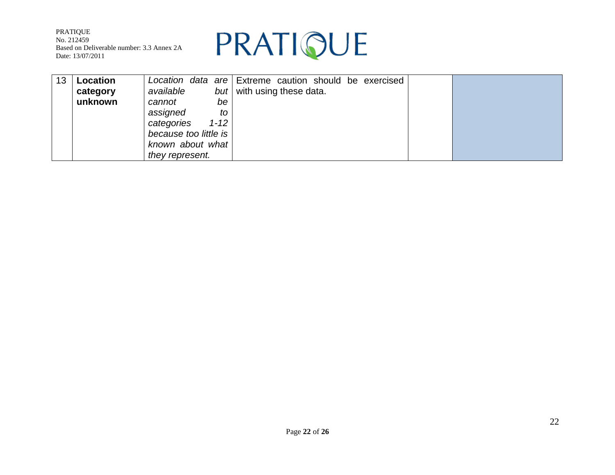

| 13 | Location |                        | Location data are Extreme caution should be exercised |  |
|----|----------|------------------------|-------------------------------------------------------|--|
|    | category | available              | but   with using these data.                          |  |
|    | unknown  | cannot<br>be           |                                                       |  |
|    |          | assigned<br>to         |                                                       |  |
|    |          | $1 - 12$<br>categories |                                                       |  |
|    |          | because too little is  |                                                       |  |
|    |          | known about what       |                                                       |  |
|    |          | they represent.        |                                                       |  |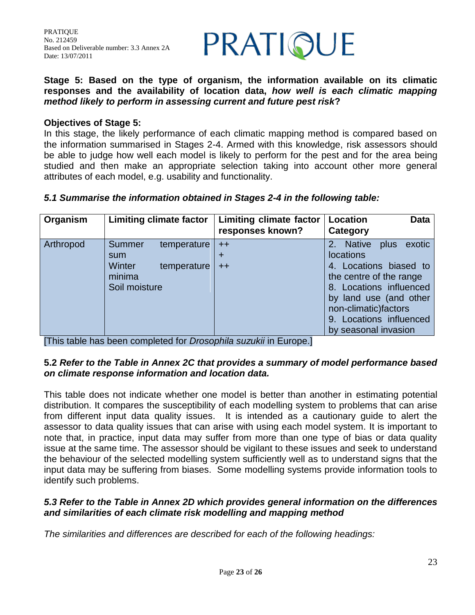

**Stage 5: Based on the type of organism, the information available on its climatic responses and the availability of location data,** *how well is each climatic mapping method likely to perform in assessing current and future pest risk***?**

#### **Objectives of Stage 5:**

In this stage, the likely performance of each climatic mapping method is compared based on the information summarised in Stages 2-4. Armed with this knowledge, risk assessors should be able to judge how well each model is likely to perform for the pest and for the area being studied and then make an appropriate selection taking into account other more general attributes of each model, e.g. usability and functionality.

| Organism  | <b>Limiting climate factor</b>                     |                            | <b>Limiting climate factor</b><br>responses known? |                                                                                                                                                                                                                                       |  |
|-----------|----------------------------------------------------|----------------------------|----------------------------------------------------|---------------------------------------------------------------------------------------------------------------------------------------------------------------------------------------------------------------------------------------|--|
| Arthropod | Summer<br>sum<br>Winter<br>minima<br>Soil moisture | temperature<br>temperature | $++$<br>+<br>$^{\mathrm{+}}$                       | exotic<br>2. Native<br>plus<br><b>locations</b><br>4. Locations biased to<br>the centre of the range<br>8. Locations influenced<br>by land use (and other<br>non-climatic) factors<br>9. Locations influenced<br>by seasonal invasion |  |

#### *5.1 Summarise the information obtained in Stages 2-4 in the following table:*

[This table has been completed for *Drosophila suzukii* in Europe.]

### **5.2** *Refer to the Table in Annex 2C that provides a summary of model performance based on climate response information and location data.*

This table does not indicate whether one model is better than another in estimating potential distribution. It compares the susceptibility of each modelling system to problems that can arise from different input data quality issues. It is intended as a cautionary guide to alert the assessor to data quality issues that can arise with using each model system. It is important to note that, in practice, input data may suffer from more than one type of bias or data quality issue at the same time. The assessor should be vigilant to these issues and seek to understand the behaviour of the selected modelling system sufficiently well as to understand signs that the input data may be suffering from biases. Some modelling systems provide information tools to identify such problems.

### *5.3 Refer to the Table in Annex 2D which provides general information on the differences and similarities of each climate risk modelling and mapping method*

*The similarities and differences are described for each of the following headings:*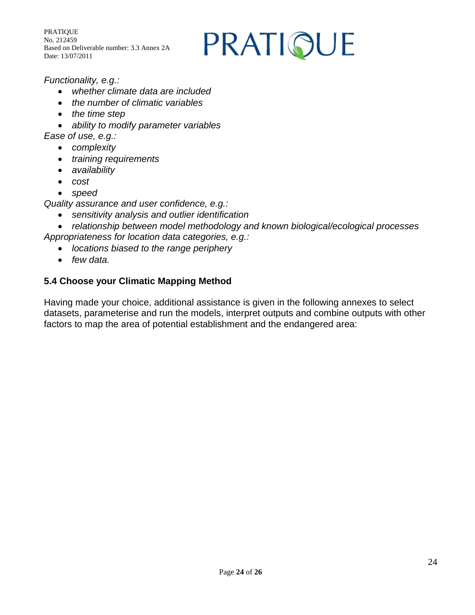## PRATIQUE

## *Functionality, e.g.:*

- *whether climate data are included*
- *the number of climatic variables*
- *the time step*
- *ability to modify parameter variables*
- *Ease of use, e.g.:*
	- *complexity*
	- *training requirements*
	- *availability*
	- *cost*
	- *speed*
- *Quality assurance and user confidence, e.g.:*
	- *sensitivity analysis and outlier identification*
- *relationship between model methodology and known biological/ecological processes Appropriateness for location data categories, e.g.:*
	- *locations biased to the range periphery*
	- *few data.*

## **5.4 Choose your Climatic Mapping Method**

Having made your choice, additional assistance is given in the following annexes to select datasets, parameterise and run the models, interpret outputs and combine outputs with other factors to map the area of potential establishment and the endangered area: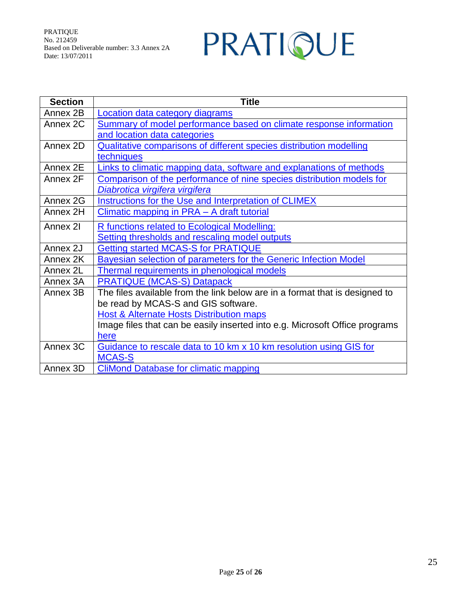# PRATIQUE

<span id="page-24-0"></span>

| <b>Section</b> | <b>Title</b>                                                                |
|----------------|-----------------------------------------------------------------------------|
| Annex 2B       | Location data category diagrams                                             |
| Annex 2C       | Summary of model performance based on climate response information          |
|                | and location data categories                                                |
| Annex 2D       | <b>Qualitative comparisons of different species distribution modelling</b>  |
|                | techniques                                                                  |
| Annex 2E       | Links to climatic mapping data, software and explanations of methods        |
| Annex 2F       | Comparison of the performance of nine species distribution models for       |
|                | Diabrotica virgifera virgifera                                              |
| Annex 2G       | Instructions for the Use and Interpretation of CLIMEX                       |
| Annex 2H       | Climatic mapping in PRA - A draft tutorial                                  |
| Annex 21       | <b>R functions related to Ecological Modelling:</b>                         |
|                | Setting thresholds and rescaling model outputs                              |
| Annex 2J       | <b>Getting started MCAS-S for PRATIQUE</b>                                  |
| Annex 2K       | Bayesian selection of parameters for the Generic Infection Model            |
| Annex 2L       | <b>Thermal requirements in phenological models</b>                          |
| Annex 3A       | <b>PRATIQUE (MCAS-S) Datapack</b>                                           |
| Annex 3B       | The files available from the link below are in a format that is designed to |
|                | be read by MCAS-S and GIS software.                                         |
|                | Host & Alternate Hosts Distribution maps                                    |
|                | Image files that can be easily inserted into e.g. Microsoft Office programs |
|                | here                                                                        |
| Annex 3C       | Guidance to rescale data to 10 km x 10 km resolution using GIS for          |
|                | <b>MCAS-S</b>                                                               |
| Annex 3D       | <b>CliMond Database for climatic mapping</b>                                |